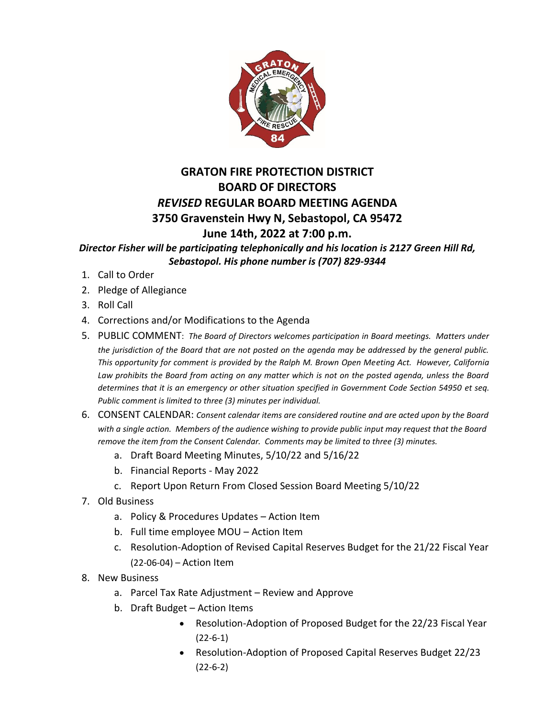

## **GRATON FIRE PROTECTION DISTRICT BOARD OF DIRECTORS** *REVISED* **REGULAR BOARD MEETING AGENDA 3750 Gravenstein Hwy N, Sebastopol, CA 95472 June 14th, 2022 at 7:00 p.m.**

*Director Fisher will be participating telephonically and his location is 2127 Green Hill Rd, Sebastopol. His phone number is (707) 829-9344*

- 1. Call to Order
- 2. Pledge of Allegiance
- 3. Roll Call
- 4. Corrections and/or Modifications to the Agenda
- 5. PUBLIC COMMENT: *The Board of Directors welcomes participation in Board meetings. Matters under the jurisdiction of the Board that are not posted on the agenda may be addressed by the general public. This opportunity for comment is provided by the Ralph M. Brown Open Meeting Act. However, California*  Law prohibits the Board from acting on any matter which is not on the posted agenda, unless the Board *determines that it is an emergency or other situation specified in Government Code Section 54950 et seq. Public comment is limited to three (3) minutes per individual.*
- 6. CONSENT CALENDAR: *Consent calendar items are considered routine and are acted upon by the Board with a single action. Members of the audience wishing to provide public input may request that the Board remove the item from the Consent Calendar. Comments may be limited to three (3) minutes.*
	- a. Draft Board Meeting Minutes, 5/10/22 and 5/16/22
	- b. Financial Reports May 2022
	- c. Report Upon Return From Closed Session Board Meeting 5/10/22
- 7. Old Business
	- a. Policy & Procedures Updates Action Item
	- b. Full time employee MOU Action Item
	- c. Resolution-Adoption of Revised Capital Reserves Budget for the 21/22 Fiscal Year (22-06-04) – Action Item
- 8. New Business
	- a. Parcel Tax Rate Adjustment Review and Approve
	- b. Draft Budget Action Items
		- Resolution-Adoption of Proposed Budget for the 22/23 Fiscal Year (22-6-1)
		- Resolution-Adoption of Proposed Capital Reserves Budget 22/23 (22-6-2)